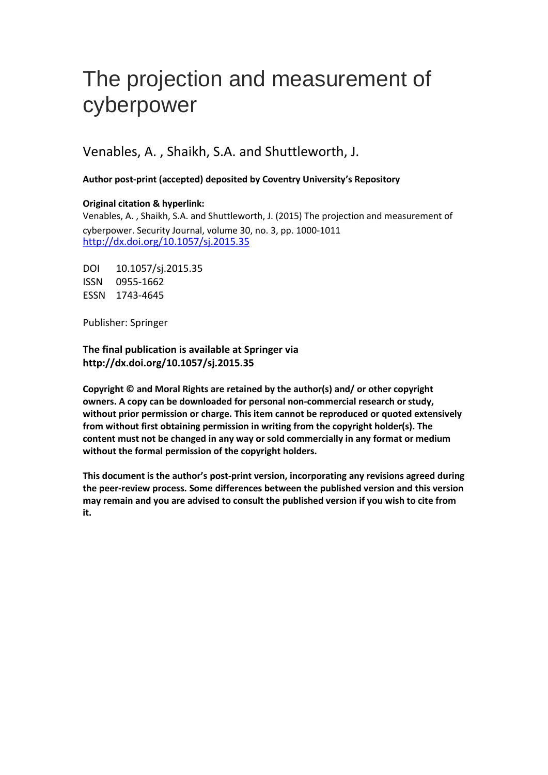# The projection and measurement of cyberpower

### Venables, A. , Shaikh, S.A. and Shuttleworth, J.

#### **Author post-print (accepted) deposited by Coventry University's Repository**

#### **Original citation & hyperlink:**

Venables, A. , Shaikh, S.A. and Shuttleworth, J. (2015) The projection and measurement of cyberpower. Security Journal, volume 30, no. 3, pp. 1000-1011 <http://dx.doi.org/10.1057/sj.2015.35>

DOI 10.1057/sj.2015.35 ISSN 0955-1662 ESSN 1743-4645

Publisher: Springer

**The final publication is available at Springer via http://dx.doi.org/10.1057/sj.2015.35** 

**Copyright © and Moral Rights are retained by the author(s) and/ or other copyright owners. A copy can be downloaded for personal non-commercial research or study, without prior permission or charge. This item cannot be reproduced or quoted extensively from without first obtaining permission in writing from the copyright holder(s). The content must not be changed in any way or sold commercially in any format or medium without the formal permission of the copyright holders.** 

**This document is the author's post-print version, incorporating any revisions agreed during the peer-review process. Some differences between the published version and this version may remain and you are advised to consult the published version if you wish to cite from it.**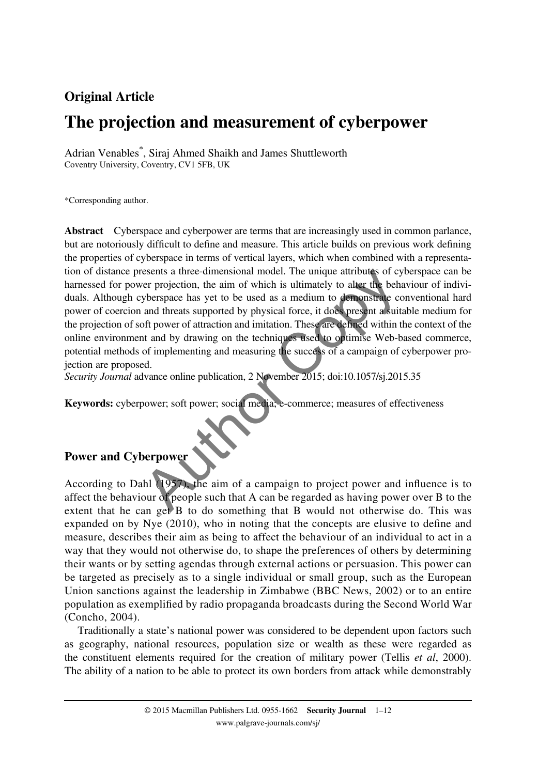## Original Article The projection and measurement of cyberpower

Adrian Venables\* , Siraj Ahmed Shaikh and James Shuttleworth Coventry University, Coventry, CV1 5FB, UK

\*Corresponding author.

Abstract Cyberspace and cyberpower are terms that are increasingly used in common parlance, but are notoriously difficult to define and measure. This article builds on previous work defining the properties of cyberspace in terms of vertical layers, which when combined with a representation of distance presents a three-dimensional model. The unique attributes of cyberspace can be harnessed for power projection, the aim of which is ultimately to alter the behaviour of individuals. Although cyberspace has yet to be used as a medium to demonstrate conventional hard power of coercion and threats supported by physical force, it does present a suitable medium for the projection of soft power of attraction and imitation. These are defined within the context of the online environment and by drawing on the techniques used to optimise Web-based commerce, potential methods of implementing and measuring the success of a campaign of cyberpower projection are proposed. Exercise a three-dimensional model. The unique attributes of cy<br>
ever projection, the aim of which is ultimately to alter the behavior<br>
subsetspace has yet to be used as a medium to demonstrate cc<br>
and threats supported by

Security Journal advance online publication, 2 November 2015; doi[:10.1057/sj.2015.35](http://dx.doi.org/10.1057/sj.2015.35)

Keywords: cyberpower; soft power; social media; e-commerce; measures of effectiveness

#### Power and Cyberpower

According to [Dahl \(1957\)](#page-11-0), the aim of a campaign to project power and influence is to affect the behaviour of people such that A can be regarded as having power over B to the extent that he can get B to do something that B would not otherwise do. This was expanded on by [Nye \(2010\)](#page-12-0), who in noting that the concepts are elusive to define and measure, describes their aim as being to affect the behaviour of an individual to act in a way that they would not otherwise do, to shape the preferences of others by determining their wants or by setting agendas through external actions or persuasion. This power can be targeted as precisely as to a single individual or small group, such as the European Union sanctions against the leadership in Zimbabwe ([BBC News, 2002\)](#page-11-0) or to an entire population as exemplified by radio propaganda broadcasts during the Second World War ([Concho, 2004](#page-11-0)).

Traditionally a state's national power was considered to be dependent upon factors such as geography, national resources, population size or wealth as these were regarded as the constituent elements required for the creation of military power (Tellis *et al*[, 2000\)](#page-12-0). The ability of a nation to be able to protect its own borders from attack while demonstrably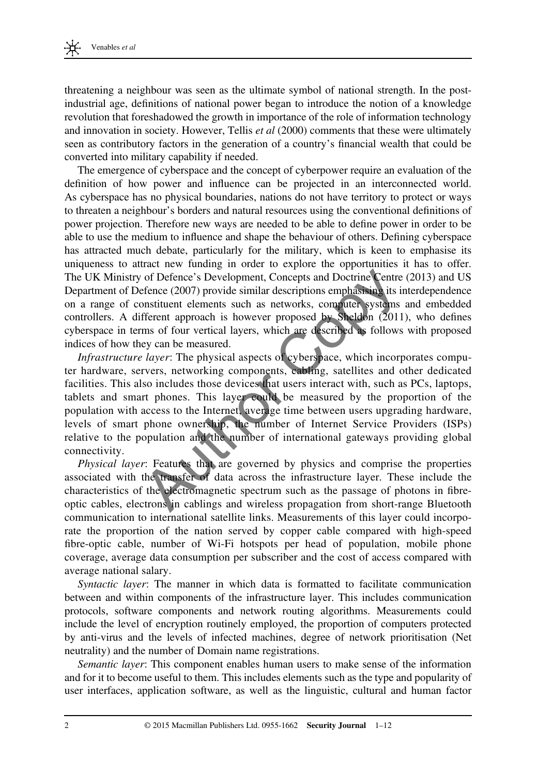

threatening a neighbour was seen as the ultimate symbol of national strength. In the postindustrial age, definitions of national power began to introduce the notion of a knowledge revolution that foreshadowed the growth in importance of the role of information technology and innovation in society. However, Tellis et al [\(2000\)](#page-12-0) comments that these were ultimately seen as contributory factors in the generation of a country's financial wealth that could be converted into military capability if needed.

The emergence of cyberspace and the concept of cyberpower require an evaluation of the definition of how power and influence can be projected in an interconnected world. As cyberspace has no physical boundaries, nations do not have territory to protect or ways to threaten a neighbour's borders and natural resources using the conventional definitions of power projection. Therefore new ways are needed to be able to define power in order to be able to use the medium to influence and shape the behaviour of others. Defining cyberspace has attracted much debate, particularly for the military, which is keen to emphasise its uniqueness to attract new funding in order to explore the opportunities it has to offer. The UK Ministry of Defence's [Development, Concepts and Doctrine Centre \(2013\)](#page-11-0) and US [Department of Defence \(2007\)](#page-11-0) provide similar descriptions emphasising its interdependence on a range of constituent elements such as networks, computer systems and embedded controllers. A different approach is however proposed by [Sheldon \(2011\),](#page-12-0) who defines cyberspace in terms of four vertical layers, which are described as follows with proposed indices of how they can be measured.

Infrastructure layer: The physical aspects of cyberspace, which incorporates computer hardware, servers, networking components, cabling, satellites and other dedicated facilities. This also includes those devices that users interact with, such as PCs, laptops, tablets and smart phones. This layer could be measured by the proportion of the population with access to the Internet, average time between users upgrading hardware, levels of smart phone ownership, the number of Internet Service Providers (ISPs) relative to the population and the number of international gateways providing global connectivity. of Defence's Development, Concepts and Doctrine Centre<br>fence (2007) provide similar descriptions emphasising its is<br>mstituent elements such as networks, computer systems<br>fferent approach is however proposed by Sheldon (201

Physical layer: Features that are governed by physics and comprise the properties associated with the transfer of data across the infrastructure layer. These include the characteristics of the electromagnetic spectrum such as the passage of photons in fibreoptic cables, electrons in cablings and wireless propagation from short-range Bluetooth communication to international satellite links. Measurements of this layer could incorporate the proportion of the nation served by copper cable compared with high-speed fibre-optic cable, number of Wi-Fi hotspots per head of population, mobile phone coverage, average data consumption per subscriber and the cost of access compared with average national salary.

Syntactic layer: The manner in which data is formatted to facilitate communication between and within components of the infrastructure layer. This includes communication protocols, software components and network routing algorithms. Measurements could include the level of encryption routinely employed, the proportion of computers protected by anti-virus and the levels of infected machines, degree of network prioritisation (Net neutrality) and the number of Domain name registrations.

Semantic layer: This component enables human users to make sense of the information and for it to become useful to them. This includes elements such as the type and popularity of user interfaces, application software, as well as the linguistic, cultural and human factor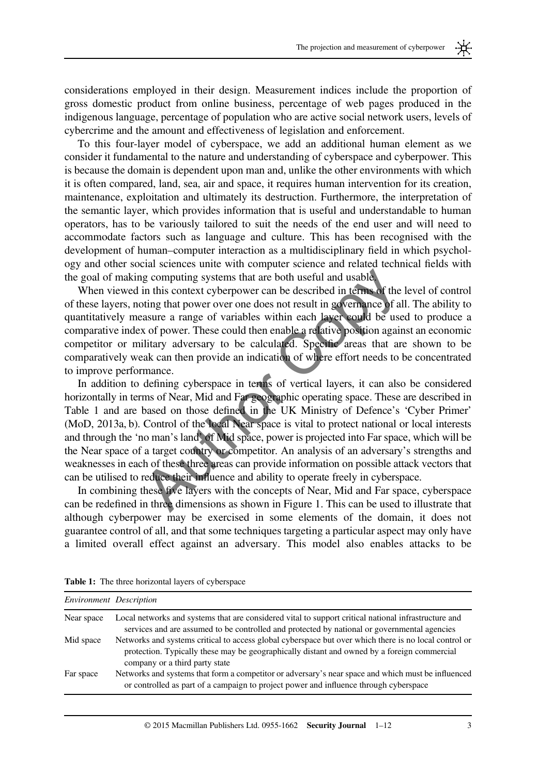considerations employed in their design. Measurement indices include the proportion of gross domestic product from online business, percentage of web pages produced in the indigenous language, percentage of population who are active social network users, levels of cybercrime and the amount and effectiveness of legislation and enforcement.

To this four-layer model of cyberspace, we add an additional human element as we consider it fundamental to the nature and understanding of cyberspace and cyberpower. This is because the domain is dependent upon man and, unlike the other environments with which it is often compared, land, sea, air and space, it requires human intervention for its creation, maintenance, exploitation and ultimately its destruction. Furthermore, the interpretation of the semantic layer, which provides information that is useful and understandable to human operators, has to be variously tailored to suit the needs of the end user and will need to accommodate factors such as language and culture. This has been recognised with the development of human–computer interaction as a multidisciplinary field in which psychology and other social sciences unite with computer science and related technical fields with the goal of making computing systems that are both useful and usable.

When viewed in this context cyberpower can be described in terms of the level of control of these layers, noting that power over one does not result in governance of all. The ability to quantitatively measure a range of variables within each layer could be used to produce a comparative index of power. These could then enable a relative position against an economic competitor or military adversary to be calculated. Specific areas that are shown to be comparatively weak can then provide an indication of where effort needs to be concentrated to improve performance.

In addition to defining cyberspace in terms of vertical layers, it can also be considered horizontally in terms of Near, Mid and Far geographic operating space. These are described in Table 1 and are based on those defined in the UK Ministry of Defence's 'Cyber Primer' ([MoD, 2013a, b](#page-11-0)). Control of the local Near space is vital to protect national or local interests and through the 'no man's land' of Mid space, power is projected into Far space, which will be the Near space of a target country or competitor. An analysis of an adversary's strengths and weaknesses in each of these three areas can provide information on possible attack vectors that can be utilised to reduce their influence and ability to operate freely in cyberspace. g computing systems that are both useful and usable,<br>in this context cyberpower can be described in terms of the<br>bting that power over one does not result in governance of al<br>assure a range of variables within each layer c

In combining these five layers with the concepts of Near, Mid and Far space, cyberspace can be redefined in three dimensions as shown in Figure 1. This can be used to illustrate that although cyberpower may be exercised in some elements of the domain, it does not guarantee control of all, and that some techniques targeting a particular aspect may only have a limited overall effect against an adversary. This model also enables attacks to be

| <b>Environment</b> Description |                                                                                                                                                                                                                                        |  |  |  |
|--------------------------------|----------------------------------------------------------------------------------------------------------------------------------------------------------------------------------------------------------------------------------------|--|--|--|
| Near space                     | Local networks and systems that are considered vital to support critical national infrastructure and<br>services and are assumed to be controlled and protected by national or governmental agencies                                   |  |  |  |
| Mid space                      | Networks and systems critical to access global cyberspace but over which there is no local control or<br>protection. Typically these may be geographically distant and owned by a foreign commercial<br>company or a third party state |  |  |  |
| Far space                      | Networks and systems that form a competitor or adversary's near space and which must be influenced<br>or controlled as part of a campaign to project power and influence through cyberspace                                            |  |  |  |

Table 1: The three horizontal layers of cyberspace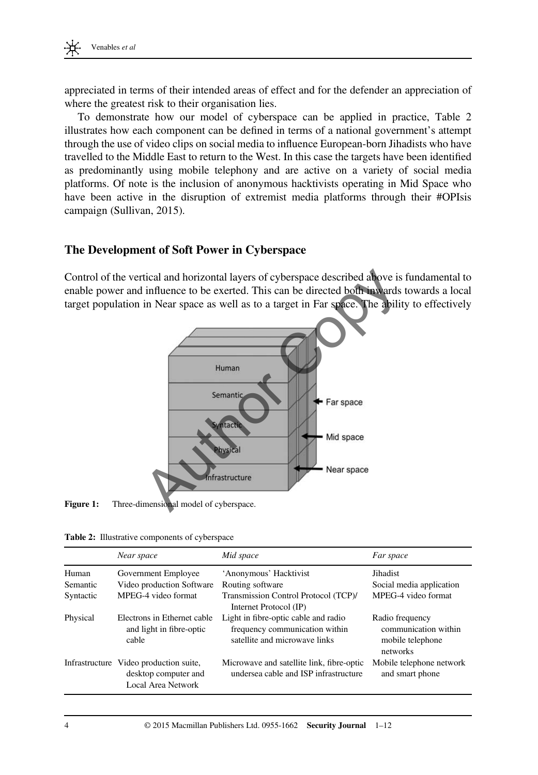<span id="page-4-0"></span>appreciated in terms of their intended areas of effect and for the defender an appreciation of where the greatest risk to their organisation lies.

To demonstrate how our model of cyberspace can be applied in practice, Table 2 illustrates how each component can be defined in terms of a national government's attempt through the use of video clips on social media to influence European-born Jihadists who have travelled to the Middle East to return to the West. In this case the targets have been identified as predominantly using mobile telephony and are active on a variety of social media platforms. Of note is the inclusion of anonymous hacktivists operating in Mid Space who have been active in the disruption of extremist media platforms through their #OPIsis campaign [\(Sullivan, 2015](#page-12-0)).

#### The Development of Soft Power in Cyberspace

Control of the vertical and horizontal layers of cyberspace described above is fundamental to enable power and influence to be exerted. This can be directed both inwards towards a local target population in Near space as well as to a target in Far space. The ability to effectively



Figure 1: Three-dimensional model of cyberspace.

Table 2: Illustrative components of cyberspace

|           | Near space                                                                           | Mid space                                                                                               | Far space                                                               |
|-----------|--------------------------------------------------------------------------------------|---------------------------------------------------------------------------------------------------------|-------------------------------------------------------------------------|
| Human     | Government Employee                                                                  | 'Anonymous' Hacktivist                                                                                  | Jihadist                                                                |
| Semantic  | Video production Software                                                            | Routing software                                                                                        | Social media application                                                |
| Syntactic | MPEG-4 video format                                                                  | Transmission Control Protocol (TCP)/<br>Internet Protocol (IP)                                          | MPEG-4 video format                                                     |
| Physical  | Electrons in Ethernet cable<br>and light in fibre-optic<br>cable                     | Light in fibre-optic cable and radio<br>frequency communication within<br>satellite and microwave links | Radio frequency<br>communication within<br>mobile telephone<br>networks |
|           | Infrastructure Video production suite,<br>desktop computer and<br>Local Area Network | Microwave and satellite link, fibre-optic<br>undersea cable and ISP infrastructure                      | Mobile telephone network<br>and smart phone                             |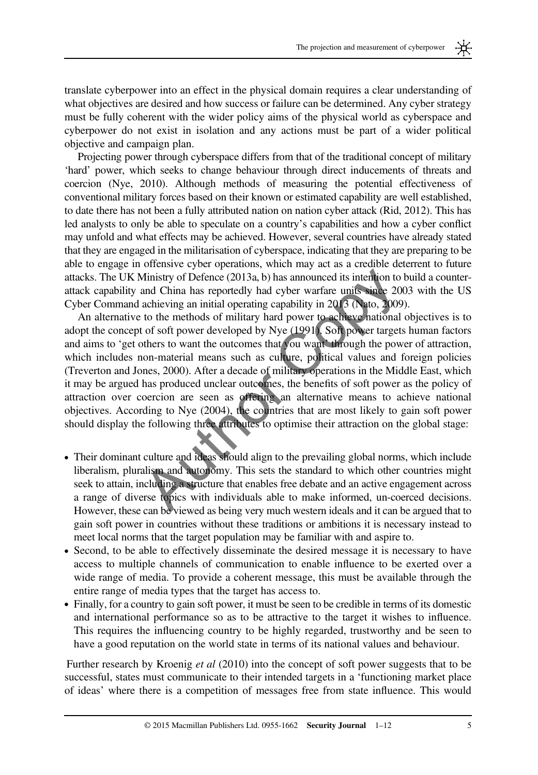translate cyberpower into an effect in the physical domain requires a clear understanding of what objectives are desired and how success or failure can be determined. Any cyber strategy must be fully coherent with the wider policy aims of the physical world as cyberspace and cyberpower do not exist in isolation and any actions must be part of a wider political objective and campaign plan.

Projecting power through cyberspace differs from that of the traditional concept of military 'hard' power, which seeks to change behaviour through direct inducements of threats and coercion [\(Nye, 2010\)](#page-12-0). Although methods of measuring the potential effectiveness of conventional military forces based on their known or estimated capability are well established, to date there has not been a fully attributed nation on nation cyber attack [\(Rid, 2012\)](#page-12-0). This has led analysts to only be able to speculate on a country's capabilities and how a cyber conflict may unfold and what effects may be achieved. However, several countries have already stated that they are engaged in the militarisation of cyberspace, indicating that they are preparing to be able to engage in offensive cyber operations, which may act as a credible deterrent to future attacks. The UK Ministry of Defence (2013a, b) has announced its intention to build a counterattack capability and China has reportedly had cyber warfare units since 2003 with the US Cyber Command achieving an initial operating capability in 2013 (Nato, 2009).

An alternative to the methods of military hard power to achieve national objectives is to adopt the concept of soft power developed by Nye (1991). Soft power targets human factors and aims to 'get others to want the outcomes that you want' through the power of attraction, which includes non-material means such as culture, political values and foreign policies ([Treverton and Jones, 2000\)](#page-12-0). After a decade of military operations in the Middle East, which it may be argued has produced unclear outcomes, the benefits of soft power as the policy of attraction over coercion are seen as offering an alternative means to achieve national objectives. According to Nye (2004), the countries that are most likely to gain soft power should display the following three attributes to optimise their attraction on the global stage: Almistry of Defence (2013a, b) [h](#page-12-0)as announced its intention to<br>and China has reportedly had cyber warfare units since 20<br>achieving an initial operating capability in 2013 (Nato, 2009<br>to the methods of military hard power t

- Their dominant culture and ideas should align to the prevailing global norms, which include liberalism, pluralism and autonomy. This sets the standard to which other countries might seek to attain, including a structure that enables free debate and an active engagement across a range of diverse topics with individuals able to make informed, un-coerced decisions. However, these can be viewed as being very much western ideals and it can be argued that to gain soft power in countries without these traditions or ambitions it is necessary instead to meet local norms that the target population may be familiar with and aspire to.
- Second, to be able to effectively disseminate the desired message it is necessary to have access to multiple channels of communication to enable influence to be exerted over a wide range of media. To provide a coherent message, this must be available through the entire range of media types that the target has access to.
- Finally, for a country to gain soft power, it must be seen to be credible in terms of its domestic and international performance so as to be attractive to the target it wishes to influence. This requires the influencing country to be highly regarded, trustworthy and be seen to have a good reputation on the world state in terms of its national values and behaviour.

Further research by [Kroenig](#page-11-0) *et al* (2010) into the concept of soft power suggests that to be successful, states must communicate to their intended targets in a 'functioning market place of ideas' where there is a competition of messages free from state influence. This would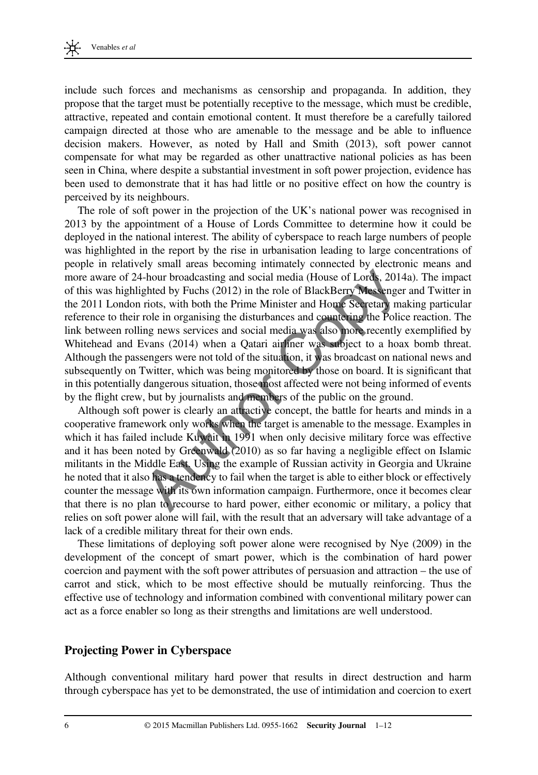include such forces and mechanisms as censorship and propaganda. In addition, they propose that the target must be potentially receptive to the message, which must be credible, attractive, repeated and contain emotional content. It must therefore be a carefully tailored campaign directed at those who are amenable to the message and be able to influence decision makers. However, as noted by [Hall and Smith \(2013\)](#page-11-0), soft power cannot compensate for what may be regarded as other unattractive national policies as has been seen in China, where despite a substantial investment in soft power projection, evidence has been used to demonstrate that it has had little or no positive effect on how the country is perceived by its neighbours.

The role of soft power in the projection of the UK's national power was recognised in 2013 by the appointment of a House of Lords Committee to determine how it could be deployed in the national interest. The ability of cyberspace to reach large numbers of people was highlighted in the report by the rise in urbanisation leading to large concentrations of people in relatively small areas becoming intimately connected by electronic means and more aware of 24-hour broadcasting and social media ([House of Lords, 2014a](#page-11-0)). The impact of this was highlighted by Fuchs (2012) in the role of BlackBerry Messenger and Twitter in the 2011 London riots, with both the Prime Minister and Home Secretary making particular reference to their role in organising the disturbances and countering the Police reaction. The link between rolling news services and social media was also more recently exemplified by [Whitehead and Evans \(2014\)](#page-12-0) when a Qatari airliner was subject to a hoax bomb threat. Although the passengers were not told of the situation, it was broadcast on national news and subsequently on Twitter, which was being monitored by those on board. It is significant that in this potentially dangerous situation, those most affected were not being informed of events by the flight crew, but by journalists and members of the public on the ground. -hour broadcasting and social media (House of Lords, 2014<br>ghted by Fuchs (2012) in the role of BlackBerry Messenge<br>riots, with both the Prime Minister and Home Secretary m<br>role in organising the disturbances and countering

Although soft power is clearly an attractive concept, the battle for hearts and minds in a cooperative framework only works when the target is amenable to the message. Examples in which it has failed include Kuwait in 1991 when only decisive military force was effective and it has been noted by Greenwald (2010) as so far having a negligible effect on Islamic militants in the Middle East. Using the example of Russian activity in Georgia and Ukraine he noted that it also has a tendency to fail when the target is able to either block or effectively counter the message with its own information campaign. Furthermore, once it becomes clear that there is no plan to recourse to hard power, either economic or military, a policy that relies on soft power alone will fail, with the result that an adversary will take advantage of a lack of a credible military threat for their own ends.

These limitations of deploying soft power alone were recognised by [Nye \(2009\)](#page-12-0) in the development of the concept of smart power, which is the combination of hard power coercion and payment with the soft power attributes of persuasion and attraction – the use of carrot and stick, which to be most effective should be mutually reinforcing. Thus the effective use of technology and information combined with conventional military power can act as a force enabler so long as their strengths and limitations are well understood.

#### Projecting Power in Cyberspace

Although conventional military hard power that results in direct destruction and harm through cyberspace has yet to be demonstrated, the use of intimidation and coercion to exert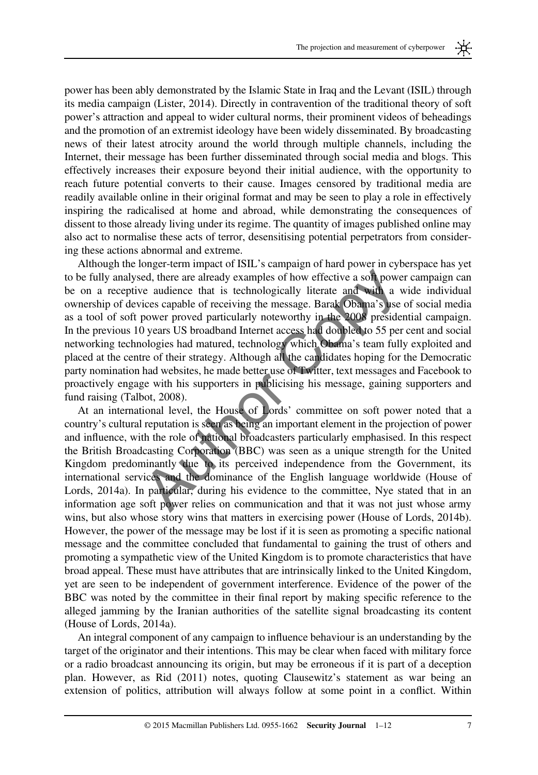power has been ably demonstrated by the Islamic State in Iraq and the Levant (ISIL) through its media campaign ([Lister, 2014\)](#page-11-0). Directly in contravention of the traditional theory of soft power's attraction and appeal to wider cultural norms, their prominent videos of beheadings and the promotion of an extremist ideology have been widely disseminated. By broadcasting news of their latest atrocity around the world through multiple channels, including the Internet, their message has been further disseminated through social media and blogs. This effectively increases their exposure beyond their initial audience, with the opportunity to reach future potential converts to their cause. Images censored by traditional media are readily available online in their original format and may be seen to play a role in effectively inspiring the radicalised at home and abroad, while demonstrating the consequences of dissent to those already living under its regime. The quantity of images published online may also act to normalise these acts of terror, desensitising potential perpetrators from considering these actions abnormal and extreme.

Although the longer-term impact of ISIL's campaign of hard power in cyberspace has yet to be fully analysed, there are already examples of how effective a soft power campaign can be on a receptive audience that is technologically literate and with a wide individual ownership of devices capable of receiving the message. Barak Obama's use of social media as a tool of soft power proved particularly noteworthy in the 2008 presidential campaign. In the previous 10 years US broadband Internet access had doubled to 55 per cent and social networking technologies had matured, technology which Obama's team fully exploited and placed at the centre of their strategy. Although all the candidates hoping for the Democratic party nomination had websites, he made better use of Twitter, text messages and Facebook to proactively engage with his supporters in publicising his message, gaining supporters and fund raising [\(Talbot, 2008\)](#page-12-0). ed, there are already examples of how effective a soft power e audience that is technologically literate and with a vices capable of receiving the message. Barak Obama's use power proved particularly noteworthy in the 2008

At an international level, the House of Lords' committee on soft power noted that a country's cultural reputation is seen as being an important element in the projection of power and influence, with the role of national broadcasters particularly emphasised. In this respect the British Broadcasting Corporation (BBC) was seen as a unique strength for the United Kingdom predominantly due to its perceived independence from the Government, its international services and the dominance of the English language worldwide [\(House of](#page-11-0) [Lords, 2014a](#page-11-0)). In particular, during his evidence to the committee, Nye stated that in an information age soft power relies on communication and that it was not just whose army wins, but also whose story wins that matters in exercising power ([House of Lords, 2014b\)](#page-11-0). However, the power of the message may be lost if it is seen as promoting a specific national message and the committee concluded that fundamental to gaining the trust of others and promoting a sympathetic view of the United Kingdom is to promote characteristics that have broad appeal. These must have attributes that are intrinsically linked to the United Kingdom, yet are seen to be independent of government interference. Evidence of the power of the BBC was noted by the committee in their final report by making specific reference to the alleged jamming by the Iranian authorities of the satellite signal broadcasting its content ([House of Lords, 2014a](#page-11-0)).

An integral component of any campaign to influence behaviour is an understanding by the target of the originator and their intentions. This may be clear when faced with military force or a radio broadcast announcing its origin, but may be erroneous if it is part of a deception plan. However, as [Rid \(2011\)](#page-12-0) notes, quoting Clausewitz's statement as war being an extension of politics, attribution will always follow at some point in a conflict. Within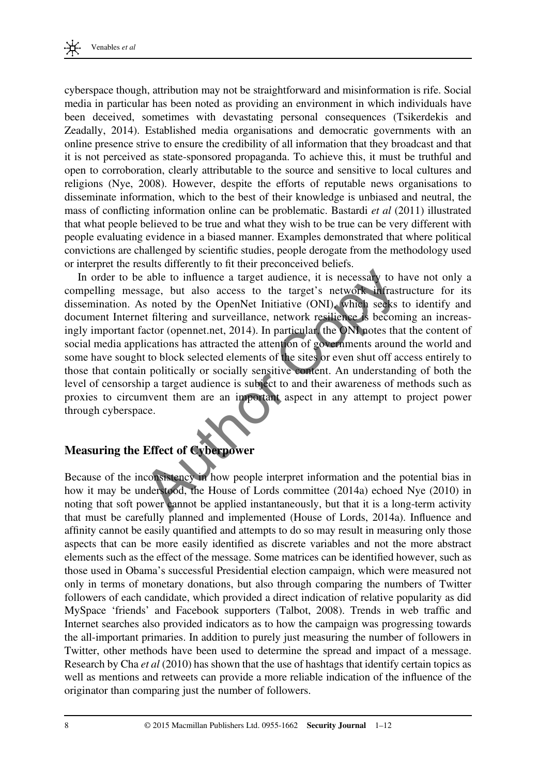cyberspace though, attribution may not be straightforward and misinformation is rife. Social media in particular has been noted as providing an environment in which individuals have been deceived, sometimes with devastating personal consequences ([Tsikerdekis and](#page-12-0) [Zeadally, 2014\)](#page-12-0). Established media organisations and democratic governments with an online presence strive to ensure the credibility of all information that they broadcast and that it is not perceived as state-sponsored propaganda. To achieve this, it must be truthful and open to corroboration, clearly attributable to the source and sensitive to local cultures and religions [\(Nye, 2008](#page-12-0)). However, despite the efforts of reputable news organisations to disseminate information, which to the best of their knowledge is unbiased and neutral, the mass of conflicting information online can be problematic. [Bastardi](#page-11-0) et al (2011) illustrated that what people believed to be true and what they wish to be true can be very different with people evaluating evidence in a biased manner. Examples demonstrated that where political convictions are challenged by scientific studies, people derogate from the methodology used or interpret the results differently to fit their preconceived beliefs.

In order to be able to influence a target audience, it is necessary to have not only a compelling message, but also access to the target's network infrastructure for its dissemination. As noted by the OpenNet Initiative (ONI), which seeks to identify and document Internet filtering and surveillance, network resilience is becoming an increasingly important factor (opennet.net, 2014). In particular, the ONI notes that the content of social media applications has attracted the attention of governments around the world and some have sought to block selected elements of the sites or even shut off access entirely to those that contain politically or socially sensitive content. An understanding of both the level of censorship a target audience is subject to and their awareness of methods such as proxies to circumvent them are an important aspect in any attempt to project power through cyberspace. Automate a target andience, it is necessary to heage, but also access to the target's network infrast<br>
and the OpenNet Initiative (ONI), which seeks<br>
at filtering and surveillance, network resilience is becom<br>
actor (openn

#### Measuring the Effect of Cyberpower

Because of the inconsistency in how people interpret information and the potential bias in how it may be understood, the House of Lords committee (2014a) echoed [Nye \(2010\)](#page-12-0) in noting that soft power cannot be applied instantaneously, but that it is a long-term activity that must be carefully planned and implemented [\(House of Lords, 2014a\)](#page-11-0). Influence and affinity cannot be easily quantified and attempts to do so may result in measuring only those aspects that can be more easily identified as discrete variables and not the more abstract elements such as the effect of the message. Some matrices can be identified however, such as those used in Obama's successful Presidential election campaign, which were measured not only in terms of monetary donations, but also through comparing the numbers of Twitter followers of each candidate, which provided a direct indication of relative popularity as did MySpace 'friends' and Facebook supporters [\(Talbot, 2008](#page-12-0)). Trends in web traffic and Internet searches also provided indicators as to how the campaign was progressing towards the all-important primaries. In addition to purely just measuring the number of followers in Twitter, other methods have been used to determine the spread and impact of a message. Research by Cha et al [\(2010\)](#page-11-0) has shown that the use of hashtags that identify certain topics as well as mentions and retweets can provide a more reliable indication of the influence of the originator than comparing just the number of followers.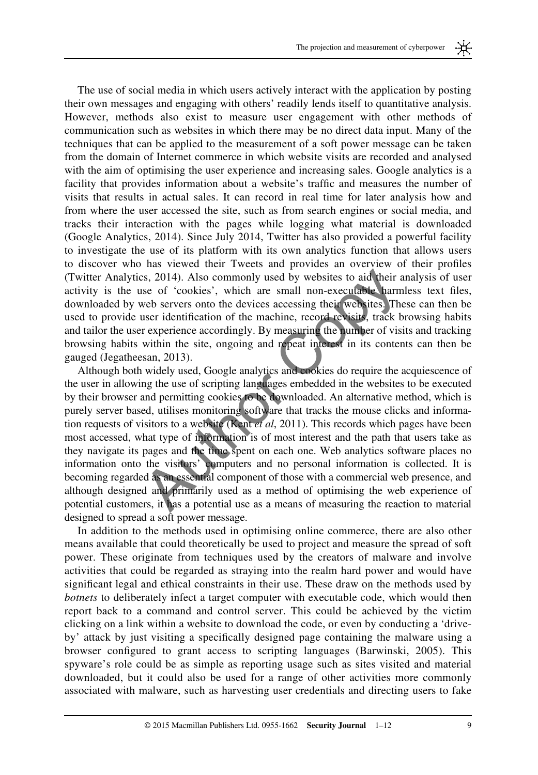The use of social media in which users actively interact with the application by posting their own messages and engaging with others' readily lends itself to quantitative analysis. However, methods also exist to measure user engagement with other methods of communication such as websites in which there may be no direct data input. Many of the techniques that can be applied to the measurement of a soft power message can be taken from the domain of Internet commerce in which website visits are recorded and analysed with the aim of optimising the user experience and increasing sales. Google analytics is a facility that provides information about a website's traffic and measures the number of visits that results in actual sales. It can record in real time for later analysis how and from where the user accessed the site, such as from search engines or social media, and tracks their interaction with the pages while logging what material is downloaded ([Google Analytics, 2014\)](#page-11-0). Since July 2014, Twitter has also provided a powerful facility to investigate the use of its platform with its own analytics function that allows users to discover who has viewed their Tweets and provides an overview of their profiles ([Twitter Analytics, 2014\)](#page-12-0). Also commonly used by websites to aid their analysis of user activity is the use of 'cookies', which are small non-executable harmless text files, downloaded by web servers onto the devices accessing their websites. These can then be used to provide user identification of the machine, record revisits, track browsing habits and tailor the user experience accordingly. By measuring the number of visits and tracking browsing habits within the site, ongoing and repeat interest in its contents can then be gauged ([Jegatheesan, 2013\)](#page-11-0).

Although both widely used, Google analytics and cookies do require the acquiescence of the user in allowing the use of scripting languages embedded in the websites to be executed by their browser and permitting cookies to be downloaded. An alternative method, which is purely server based, utilises monitoring software that tracks the mouse clicks and information requests of visitors to a website (Kent et al, 2011). This records which pages have been most accessed, what type of information is of most interest and the path that users take as they navigate its pages and the time spent on each one. Web analytics software places no information onto the visitors' computers and no personal information is collected. It is becoming regarded as an essential component of those with a commercial web presence, and although designed and primarily used as a method of optimising the web experience of potential customers, it has a potential use as a means of measuring the reaction to material designed to spread a soft power message. Example 1.1 Also commonly used by websites to aid their ase of 'cookies', which are small non-executable harm<br>web servers onto the devices accessing their websites. The<br>user identification of the machine, record revisits,

In addition to the methods used in optimising online commerce, there are also other means available that could theoretically be used to project and measure the spread of soft power. These originate from techniques used by the creators of malware and involve activities that could be regarded as straying into the realm hard power and would have significant legal and ethical constraints in their use. These draw on the methods used by botnets to deliberately infect a target computer with executable code, which would then report back to a command and control server. This could be achieved by the victim clicking on a link within a website to download the code, or even by conducting a 'driveby' attack by just visiting a specifically designed page containing the malware using a browser configured to grant access to scripting languages ([Barwinski, 2005\)](#page-11-0). This spyware's role could be as simple as reporting usage such as sites visited and material downloaded, but it could also be used for a range of other activities more commonly associated with malware, such as harvesting user credentials and directing users to fake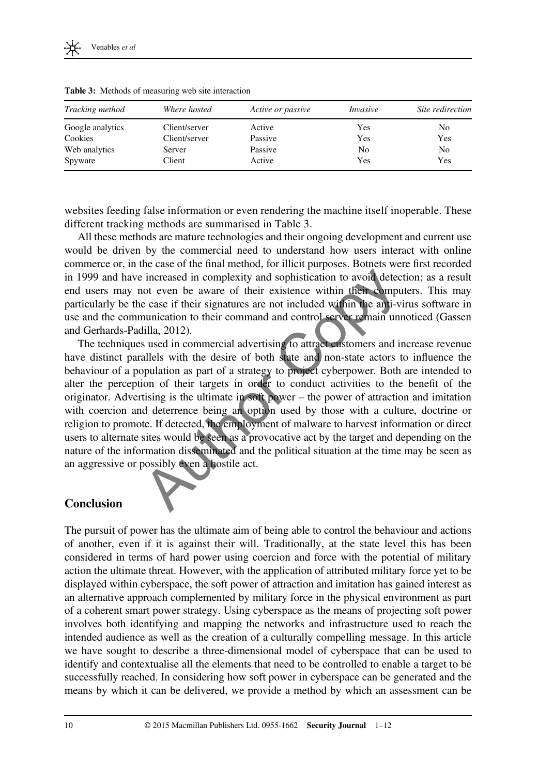| Tracking method  | Where hosted  | Active or passive | Invasive | Site redirection |
|------------------|---------------|-------------------|----------|------------------|
| Google analytics | Client/server | Active            | Yes      | No               |
| Cookies          | Client/server | Passive           | Yes      | Yes              |
| Web analytics    | Server        | Passive           | No       | No               |
| Spyware          | Client        | Active            | Yes      | Yes              |

Table 3: Methods of measuring web site interaction

websites feeding false information or even rendering the machine itself inoperable. These different tracking methods are summarised in Table 3.

All these methods are mature technologies and their ongoing development and current use would be driven by the commercial need to understand how users interact with online commerce or, in the case of the final method, for illicit purposes. Botnets were first recorded in 1999 and have increased in complexity and sophistication to avoid detection; as a result end users may not even be aware of their existence within their computers. This may particularly be the case if their signatures are not included within the anti-virus software in use and the communication to their command and control server remain unnoticed ([Gassen](#page-11-0) [and Gerhards-Padilla, 2012\)](#page-11-0).

The techniques used in commercial advertising to attract customers and increase revenue have distinct parallels with the desire of both state and non-state actors to influence the behaviour of a population as part of a strategy to project cyberpower. Both are intended to alter the perception of their targets in order to conduct activities to the benefit of the originator. Advertising is the ultimate in soft power – the power of attraction and imitation with coercion and deterrence being an option used by those with a culture, doctrine or religion to promote. If detected, the employment of malware to harvest information or direct users to alternate sites would be seen as a provocative act by the target and depending on the nature of the information disseminated and the political situation at the time may be seen as an aggressive or possibly even a hostile act. increased in complexity and sophistication to avoid detected to even be aware of their existence within then compute case if their signatures are not included within the anti-virtunination to their command and control serv

#### Conclusion

The pursuit of power has the ultimate aim of being able to control the behaviour and actions of another, even if it is against their will. Traditionally, at the state level this has been considered in terms of hard power using coercion and force with the potential of military action the ultimate threat. However, with the application of attributed military force yet to be displayed within cyberspace, the soft power of attraction and imitation has gained interest as an alternative approach complemented by military force in the physical environment as part of a coherent smart power strategy. Using cyberspace as the means of projecting soft power involves both identifying and mapping the networks and infrastructure used to reach the intended audience as well as the creation of a culturally compelling message. In this article we have sought to describe a three-dimensional model of cyberspace that can be used to identify and contextualise all the elements that need to be controlled to enable a target to be successfully reached. In considering how soft power in cyberspace can be generated and the means by which it can be delivered, we provide a method by which an assessment can be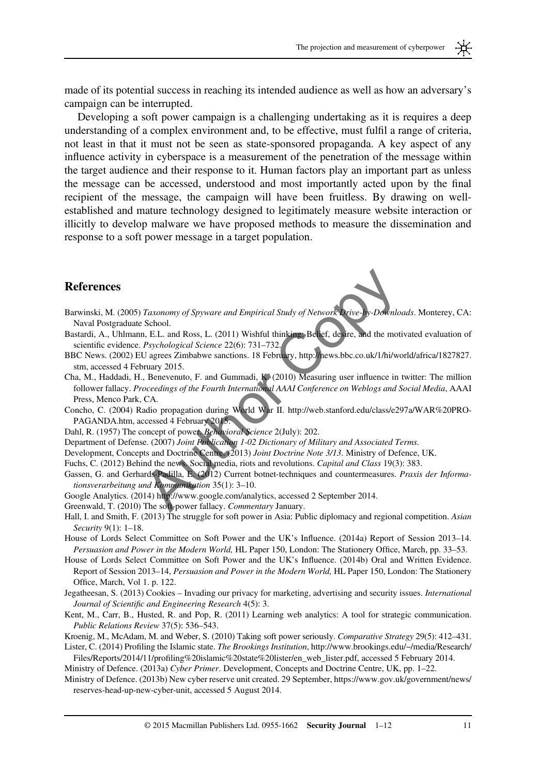<span id="page-11-0"></span>made of its potential success in reaching its intended audience as well as how an adversary's campaign can be interrupted.

Developing a soft power campaign is a challenging undertaking as it is requires a deep understanding of a complex environment and, to be effective, must fulfil a range of criteria, not least in that it must not be seen as state-sponsored propaganda. A key aspect of any influence activity in cyberspace is a measurement of the penetration of the message within the target audience and their response to it. Human factors play an important part as unless the message can be accessed, understood and most importantly acted upon by the final recipient of the message, the campaign will have been fruitless. By drawing on wellestablished and mature technology designed to legitimately measure website interaction or illicitly to develop malware we have proposed methods to measure the dissemination and response to a soft power message in a target population.

#### **References**

- Barwinski, M. (2005) Taxonomy of Spyware and Empirical Study of Network Drive-by-Downloads. Monterey, CA: Naval Postgraduate School.
- Bastardi, A., Uhlmann, E.L. and Ross, L. (2011) Wishful thinking: Belief, desire, and the motivated evaluation of scientific evidence. Psychological Science 22(6): 731-732.
- BBC News. (2002) EU agrees Zimbabwe sanctions. 18 February, [http://news.bbc.co.uk/1/hi/world/africa/1827827.](http://news.bbc.co.uk/1/hi/world/africa/1827827.stm) [stm](http://news.bbc.co.uk/1/hi/world/africa/1827827.stm), accessed 4 February 2015.
- Cha, M., Haddadi, H., Benevenuto, F. and Gummadi, K. (2010) Measuring user influence in twitter: The million follower fallacy. Proceedings of the Fourth International AAAI Conference on Weblogs and Social Media, AAAI Press, Menco Park, CA. Taxonomy of Spyware and Empirical Study of Network Drive-by-Downlook<br>School.<br>
School.<br>
School:<br>
School:<br>
The EL. and Ross, L. (2011) Wishful thinking: Belief, desire, and the moti<br>
Dagrees Zimbabwe sanctions. 18 February,
- Concho, C. (2004) Radio propagation during World War II. [http://web.stanford.edu/class/e297a/WAR%20PRO-](http://web.stanford.edu/class/e297a/WAR%20PROPAGANDA.htm)[PAGANDA.htm,](http://web.stanford.edu/class/e297a/WAR%20PROPAGANDA.htm) accessed 4 February 2015.
- Dahl, R. (1957) The concept of power. Behavioral Science 2(July): 202.
- Department of Defense. (2007) Joint Publication 1-02 Dictionary of Military and Associated Terms.

Development, Concepts and Doctrine Centre. (2013) Joint Doctrine Note 3/13. Ministry of Defence, UK.

- Fuchs, C. (2012) Behind the news. Social media, riots and revolutions. Capital and Class 19(3): 383.
- Gassen, G. and Gerhards-Padilla, E. (2012) Current botnet-techniques and countermeasures. Praxis der Informationsverarbeitung und Kommunikation 35(1): 3–10.
- Google Analytics. (2014) http://www.google.com/analytics, accessed 2 September 2014.
- Greenwald, T. (2010) The soft-power fallacy. Commentary January.
- Hall, I. and Smith, F. (2013) The struggle for soft power in Asia: Public diplomacy and regional competition. Asian Security 9(1): 1–18.
- House of Lords Select Committee on Soft Power and the UK's Influence. (2014a) Report of Session 2013–14. Persuasion and Power in the Modern World, HL Paper 150, London: The Stationery Office, March, pp. 33–53.
- House of Lords Select Committee on Soft Power and the UK's Influence. (2014b) Oral and Written Evidence. Report of Session 2013–14, Persuasion and Power in the Modern World, HL Paper 150, London: The Stationery Office, March, Vol 1. p. 122.
- Jegatheesan, S. (2013) Cookies Invading our privacy for marketing, advertising and security issues. International Journal of Scientific and Engineering Research 4(5): 3.
- Kent, M., Carr, B., Husted, R. and Pop, R. (2011) Learning web analytics: A tool for strategic communication. Public Relations Review 37(5): 536–543.
- Kroenig, M., McAdam, M. and Weber, S. (2010) Taking soft power seriously. Comparative Strategy 29(5): 412-431.
- Lister, C. (2014) Profiling the Islamic state. The Brookings Institution, [http://www.brookings.edu/~/media/Research/](http://www.brookings.edu/~/media/Research/Files/Reports/2014/11/profiling%20islamic%20state%20lister/en_web_lister.pdf) Files/Reports/2014/11/profi[ling%20islamic%20state%20lister/en\\_web\\_lister.pdf,](http://www.brookings.edu/~/media/Research/Files/Reports/2014/11/profiling%20islamic%20state%20lister/en_web_lister.pdf) accessed 5 February 2014.
- Ministry of Defence. (2013a) Cyber Primer. Development, Concepts and Doctrine Centre, UK, pp. 1–22.
- Ministry of Defence. (2013b) New cyber reserve unit created. 29 September, [https://www.gov.uk/government/news/](https://www.gov.uk/government/news/reserves-head-up-new-cyber-unit) [reserves-head-up-new-cyber-unit](https://www.gov.uk/government/news/reserves-head-up-new-cyber-unit), accessed 5 August 2014.